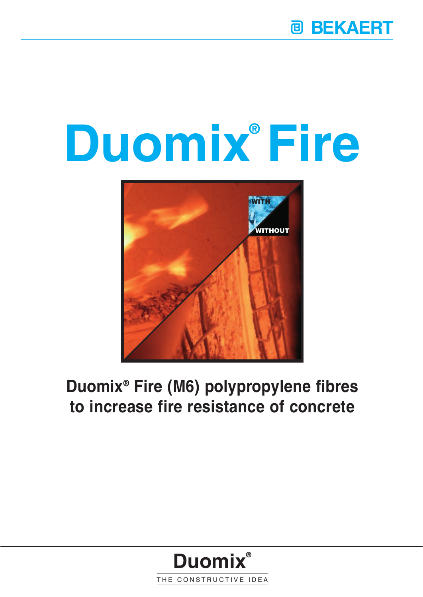# **Duomix Fire ®**



## **Duomix® Fire (M6) polypropylene fibres to increase fire resistance of concrete**

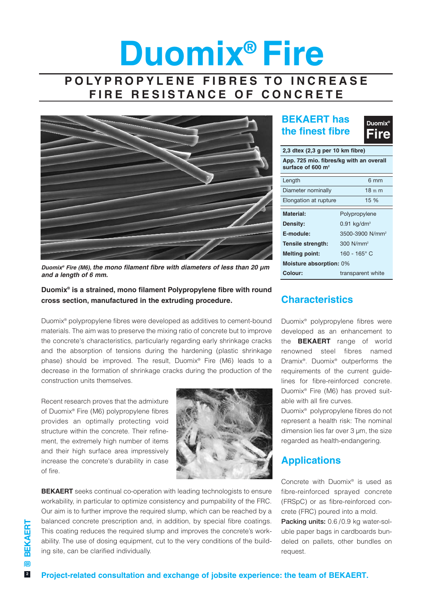# **Duomix® Fire POLYPROPYLENE FIBRES TO INCREASE**

**FIRE RESISTANCE OF CONCRETE**



*Duomix® Fire (M6), the mono filament fibre with diameters of less than 20 µm and a length of 6 mm.*

**Duomix® is a strained, mono filament Polypropylene fibre with round cross section, manufactured in the extruding procedure.**

Duomix® polypropylene fibres were developed as additives to cement-bound materials. The aim was to preserve the mixing ratio of concrete but to improve the concrete's characteristics, particularly regarding early shrinkage cracks and the absorption of tensions during the hardening (plastic shrinkage phase) should be improved. The result, Duomix® Fire (M6) leads to a decrease in the formation of shrinkage cracks during the production of the construction units themselves.

Recent research proves that the admixture of Duomix® Fire (M6) polypropylene fibres provides an optimally protecting void structure within the concrete. Their refinement, the extremely high number of items and their high surface area impressively increase the concrete's durability in case  $\bigcap$  fire.



**BEKAERT** seeks continual co-operation with leading technologists to ensure workability, in particular to optimize consistency and pumpability of the FRC. Our aim is to further improve the required slump, which can be reached by a balanced concrete prescription and, in addition, by special fibre coatings. This coating reduces the required slump and improves the concrete's workability. The use of dosing equipment, cut to the very conditions of the building site, can be clarified individually.

### **BEKAERT has the finest fibre**



| 2,3 dtex (2,3 g per 10 km fibre)                                         |                             |  |  |  |
|--------------------------------------------------------------------------|-----------------------------|--|--|--|
| App. 725 mio. fibres/kg with an overall<br>surface of 600 m <sup>2</sup> |                             |  |  |  |
| Length                                                                   | 6 mm                        |  |  |  |
| Diameter nominally                                                       | $18m$ m                     |  |  |  |
| Elongation at rupture                                                    | 15 %                        |  |  |  |
| Material:                                                                | Polypropylene               |  |  |  |
| Density:                                                                 | $0.91$ kg/dm <sup>3</sup>   |  |  |  |
| E-module:                                                                | 3500-3900 N/mm <sup>2</sup> |  |  |  |
| Tensile strength:                                                        | $300$ N/mm <sup>2</sup>     |  |  |  |
| <b>Melting point:</b>                                                    | $160 - 165$ ° C             |  |  |  |
| Moisture absorption: 0%                                                  |                             |  |  |  |
| Colour:                                                                  | transparent white           |  |  |  |

### **Characteristics**

Duomix® polypropylene fibres were developed as an enhancement to the **BEKAERT** range of world renowned steel fibres named Dramix®. Duomix® outperforms the requirements of the current guidelines for fibre-reinforced concrete. Duomix® Fire (M6) has proved suitable with all fire curves.

Duomix® polypropylene fibres do not represent a health risk: The nominal dimension lies far over 3 µm, the size regarded as health-endangering.

### **Applications**

Concrete with Duomix® is used as fibre-reinforced sprayed concrete (FRSpC) or as fibre-reinforced concrete (FRC) poured into a mold. **Packing units:** 0.6 /0.9 kg water-sol-

uble paper bags in cardboards bundeled on pallets, other bundles on request.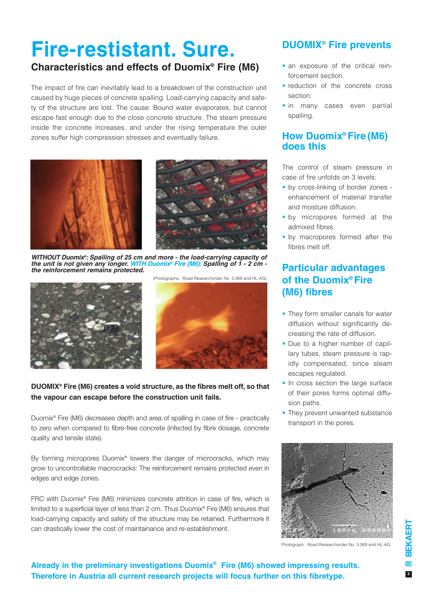# **Fire-restistant. Sure.**

### **Characteristics and effects of Duomix® Fire (M6)**

The impact of fire can inevitably lead to a breakdown of the construction unit caused by huge pieces of concrete spalling. Load-carrying capacity and safety of the structure are lost. The cause: Bound water evaporates, but cannot escape fast enough due to the close concrete structure. The steam pressure inside the concrete increases, and under the rising temperature the outer zones suffer high compression stresses and eventually failure.



*WITHOUT Duomix®: Spalling of 25 cm and more - the load-carrying capacity of the unit is not given any longer. WITH Duomix® Fire (M6): Spalling of 1 - 2 cm the reinforcement remains protected.*





#### **DUOMIX® Fire (M6) creates a void structure, as the fibres melt off, so that the vapour can escape before the construction unit fails.**

Duomix® Fire (M6) decreases depth and area of spalling in case of fire - practically to zero when compared to fibre-free concrete (infected by fibre dosage, concrete quality and tensile state).

By forming micropores Duomix® lowers the danger of microcracks, which may grow to uncontrollable macrocracks: The reinforcement remains protected even in edges and edge zones.

FRC with Duomix® Fire (M6) minimizes concrete attrition in case of fire, which is limited to a superficial layer of less than 2 cm. Thus Duomix® Fire (M6) ensures that load-carrying capacity and safety of the structure may be retained. Furthermore it can drastically lower the cost of maintainance and re-establishment.

### **DUOMIX® Fire prevents**

- an exposure of the critical reinforcement section.
- reduction of the concrete cross section.
- in many cases even partial spalling.

### **How Duomix® Fire (M6) does this**

The control of steam pressure in case of fire unfolds on 3 levels:

- by cross-linking of border zones enhancement of material transfer and moisture diffusion.
- by micropores formed at the admixed fibres.
- by macropores formed after the fibres melt off.

### **Particular advantages of the Duomix® Fire (M6) fibres**

- They form smaller canals for water diffusion without significantly decreasing the rate of diffusion.
- Due to a higher number of capillary tubes, steam pressure is rapidly compensated, since steam escapes regulated.
- In cross section the large surface of their pores forms optimal diffusion paths.
- They prevent unwanted substance transport in the pores.



Photograph: Road Researchorder No. 3.269 and HL-AG

**Already in the preliminary investigations Duomix® Fire (M6) showed impressing results. Therefore in Austria all current research projects will focus further on this fibretype.**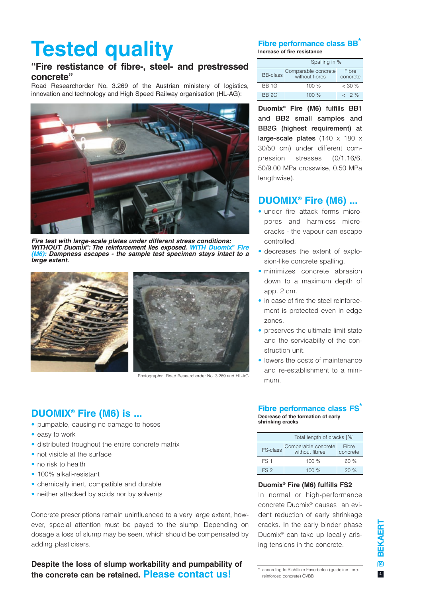# **Tested quality**

### **"Fire restistance of fibre-, steel- and prestressed concrete"**

Road Researchorder No. 3.269 of the Austrian ministery of logistics, innovation and technology and High Speed Railway organisation (HL-AG):



*Fire test with large-scale plates under different stress conditions: WITHOUT Duomix®: The reinforcement lies exposed. WITH Duomix® Fire (M6): Dampness escapes - the sample test specimen stays intact to a large extent.*





Photographs: Road Researchorder No. 3.269 and HL-AG

#### **Fibre performance class BB\* Increase of fire resistance**

| Spalling in %   |                                       |                   |
|-----------------|---------------------------------------|-------------------|
| <b>BB-class</b> | Comparable concrete<br>without fibres | Fibre<br>concrete |
| <b>BB 1G</b>    | 100%                                  | $<$ 30 %          |
| <b>BB 2G</b>    | 100%                                  | $& 2\%$           |

**Duomix® Fire (M6) fulfills BB1 and BB2 small samples and BB2G (highest requirement) at large-scale plates** (140 x 180 x 30/50 cm) under different compression stresses (0/1.16/6. 50/9.00 MPa crosswise, 0.50 MPa lengthwise).

### **DUOMIX® Fire (M6) ...**

- under fire attack forms micropores and harmless microcracks - the vapour can escape controlled.
- decreases the extent of explosion-like concrete spalling.
- minimizes concrete abrasion down to a maximum depth of app. 2 cm.
- in case of fire the steel reinforcement is protected even in edge zones.
- preserves the ultimate limit state and the servicabilty of the construction unit.
- lowers the costs of maintenance and re-establishment to a minimum.

### **DUOMIX® Fire (M6) is ...**

- pumpable, causing no damage to hoses
- easy to work
- distributed troughout the entire concrete matrix
- not visible at the surface
- no risk to health
- 100% alkali-resistant
- chemically inert, compatible and durable
- neither attacked by acids nor by solvents

Concrete prescriptions remain uninfluenced to a very large extent, however, special attention must be payed to the slump. Depending on dosage a loss of slump may be seen, which should be compensated by adding plasticisers.

#### **Despite the loss of slump workability and pumpability of the concrete can be retained. Please contact us!**<br> **the concrete can be retained. Please contact us!**

### **Fibre performance class FS<sup>\*</sup>**

**Decrease of the formation of early shrinking cracks**

| Total length of cracks [%] |                                       |                   |
|----------------------------|---------------------------------------|-------------------|
| FS-class                   | Comparable concrete<br>without fibres | Fibre<br>concrete |
| FS <sub>1</sub>            | 100%                                  | 60%               |
| FS <sub>2</sub>            | 100%                                  | 20%               |

#### **Duomix® Fire (M6) fulfills FS2**

In normal or high-performance concrete Duomix® causes an evident reduction of early shrinkage cracks. In the early binder phase Duomix® can take up locally arising tensions in the concrete.

 $\overline{4}$ 

reinforced concrete) ÖVBB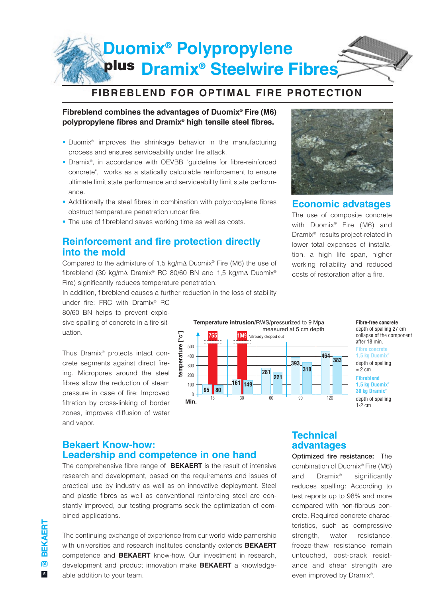### **plus Duomix® Polypropylene Dramix® Steelwire Fibres**

### **FIBREBLEND FOR OPTIMAL FIRE PROTECTION**

### **Fibreblend combines the advantages of Duomix® Fire (M6) polypropylene fibres and Dramix® high tensile steel fibres.**

- Duomix® improves the shrinkage behavior in the manufacturing process and ensures serviceability under fire attack.
- Dramix®, in accordance with OEVBB "guideline for fibre-reinforced concrete", works as a statically calculable reinforcement to ensure ultimate limit state performance and serviceability limit state performance.
- Additionally the steel fibres in combination with polypropylene fibres obstruct temperature penetration under fire.
- The use of fibreblend saves working time as well as costs.

### **Reinforcement and fire protection directly into the mold**

Compared to the admixture of 1,5 kg/m∆ Duomix® Fire (M6) the use of fibreblend (30 kg/m∆ Dramix® RC 80/60 BN and 1,5 kg/m∆ Duomix® Fire) significantly reduces temperature penetration.

In addition, fibreblend causes a further reduction in the loss of stability

under fire: FRC with Dramix® RC 80/60 BN helps to prevent explosive spalling of concrete in a fire situation.

Thus Dramix® protects intact concrete segments against direct fireing. Micropores around the steel fibres allow the reduction of steam pressure in case of fire: Improved filtration by cross-linking of border zones, improves diffusion of water and vapor.



### **Economic advatages**

The use of composite concrete with Duomix® Fire (M6) and Dramix® results project-related in lower total expenses of installation, a high life span, higher working reliability and reduced costs of restoration after a fire.

> **Fibre-free concrete** depth of spalling 27 cm collapse of the component after 18 min. depth of spalling ≈ 2 cm **Fibre concrete 1,5 kg Duomix®** depth of spalling 1-2 cm **Fibreblend 1,5 kg Duomix® 30 kg Dramix®**

### **Bekaert Know-how: Leadership and competence in one hand**

The comprehensive fibre range of **BEKAERT** is the result of intensive research and development, based on the requirements and issues of practical use by industry as well as on innovative deployment. Steel and plastic fibres as well as conventional reinforcing steel are constantly improved, our testing programs seek the optimization of combined applications.

The continuing exchange of experience from our world-wide parnership with universities and research institutes constantly extends **BEKAERT** competence and **BEKAERT** know-how. Our investment in research, development and product innovation make **BEKAERT** a knowledgeable addition to your team.

### **Technical advantages**

**Optimized fire resistance:** The combination of Duomix® Fire (M6) and Dramix® significantly reduces spalling: According to test reports up to 98% and more compared with non-fibrous concrete. Required concrete characteristics, such as compressive strength, water resistance, freeze-thaw resistance remain untouched, post-crack resistance and shear strength are even improved by Dramix®.